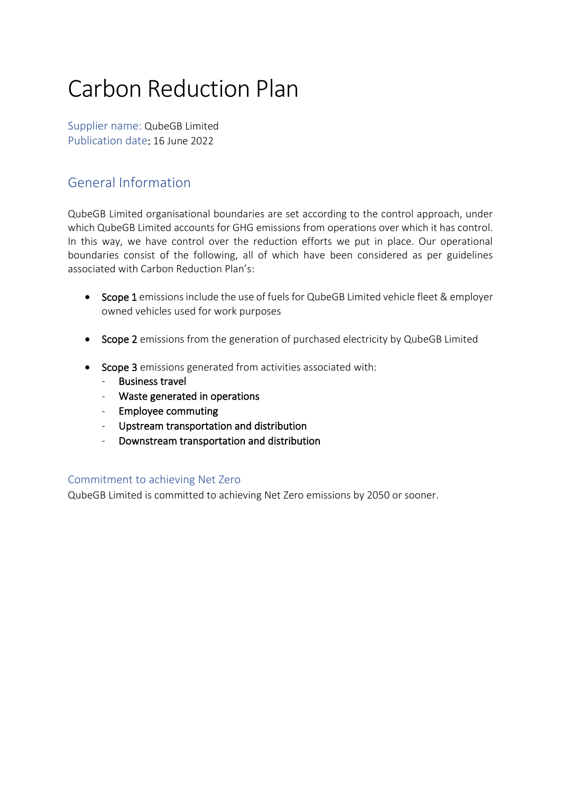# Carbon Reduction Plan

Supplier name: QubeGB Limited Publication date: 16 June 2022

# General Information

QubeGB Limited organisational boundaries are set according to the control approach, under which QubeGB Limited accounts for GHG emissions from operations over which it has control. In this way, we have control over the reduction efforts we put in place. Our operational boundaries consist of the following, all of which have been considered as per guidelines associated with Carbon Reduction Plan's:

- Scope 1 emissions include the use of fuels for QubeGB Limited vehicle fleet & employer owned vehicles used for work purposes
- Scope 2 emissions from the generation of purchased electricity by QubeGB Limited
- Scope 3 emissions generated from activities associated with:
	- Business travel
	- Waste generated in operations
	- Employee commuting
	- Upstream transportation and distribution
	- Downstream transportation and distribution

# Commitment to achieving Net Zero

QubeGB Limited is committed to achieving Net Zero emissions by 2050 or sooner.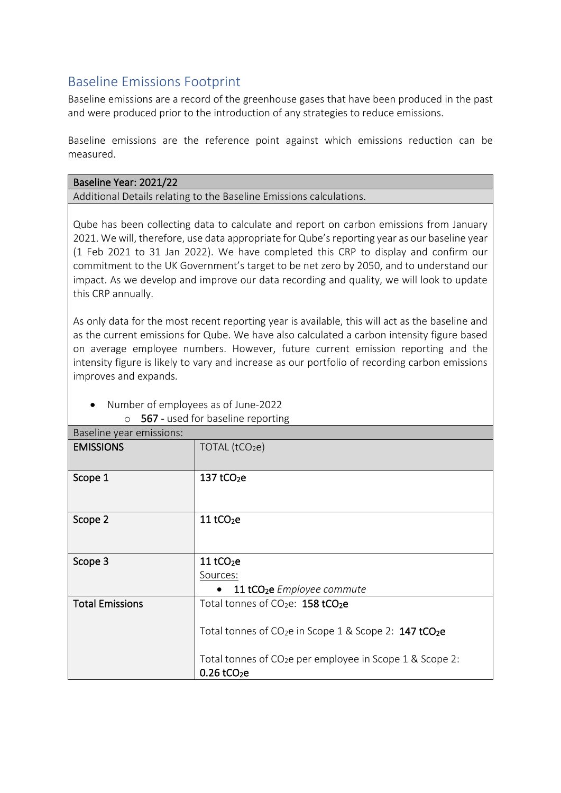# Baseline Emissions Footprint

Baseline emissions are a record of the greenhouse gases that have been produced in the past and were produced prior to the introduction of any strategies to reduce emissions.

Baseline emissions are the reference point against which emissions reduction can be measured.

| Baseline Year: 2021/22 |  |
|------------------------|--|
|------------------------|--|

Additional Details relating to the Baseline Emissions calculations.

Qube has been collecting data to calculate and report on carbon emissions from January 2021. We will, therefore, use data appropriate for Qube's reporting year as our baseline year (1 Feb 2021 to 31 Jan 2022). We have completed this CRP to display and confirm our commitment to the UK Government's target to be net zero by 2050, and to understand our impact. As we develop and improve our data recording and quality, we will look to update this CRP annually.

As only data for the most recent reporting year is available, this will act as the baseline and as the current emissions for Qube. We have also calculated a carbon intensity figure based on average employee numbers. However, future current emission reporting and the intensity figure is likely to vary and increase as our portfolio of recording carbon emissions improves and expands.

| Baseline year emissions: |                                                                                |  |
|--------------------------|--------------------------------------------------------------------------------|--|
| <b>EMISSIONS</b>         | TOTAL (tCO2e)                                                                  |  |
|                          |                                                                                |  |
| Scope 1                  | $137$ tCO <sub>2</sub> e                                                       |  |
|                          |                                                                                |  |
|                          |                                                                                |  |
| Scope 2                  | $11$ tCO <sub>2</sub> e                                                        |  |
|                          |                                                                                |  |
|                          |                                                                                |  |
| Scope 3                  | $11$ tCO <sub>2</sub> e                                                        |  |
|                          | Sources:                                                                       |  |
|                          | 11 tCO <sub>2</sub> e Employee commute<br>$\bullet$                            |  |
| <b>Total Emissions</b>   | Total tonnes of CO <sub>2</sub> e: 158 tCO <sub>2</sub> e                      |  |
|                          |                                                                                |  |
|                          | Total tonnes of CO <sub>2</sub> e in Scope 1 & Scope 2: 147 tCO <sub>2</sub> e |  |
|                          |                                                                                |  |
|                          | Total tonnes of $CO2e$ per employee in Scope 1 & Scope 2:                      |  |
|                          | $0.26$ tCO <sub>2</sub> e                                                      |  |

• Number of employees as of June-2022 o 567 - used for baseline reporting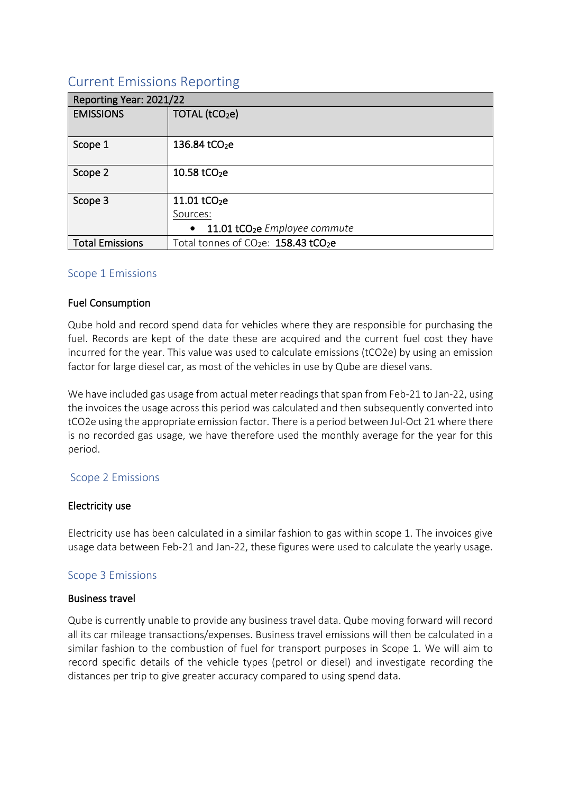# Current Emissions Reporting

| Reporting Year: 2021/22 |                                                              |
|-------------------------|--------------------------------------------------------------|
| <b>EMISSIONS</b>        | TOTAL (tCO <sub>2</sub> e)                                   |
| Scope 1                 | 136.84 tCO <sub>2</sub> e                                    |
| Scope 2                 | 10.58 tCO <sub>2</sub> e                                     |
| Scope 3                 | 11.01 tCO <sub>2</sub> e                                     |
|                         | Sources:                                                     |
|                         | 11.01 tCO <sub>2</sub> e Employee commute<br>$\bullet$       |
| <b>Total Emissions</b>  | Total tonnes of CO <sub>2</sub> e: 158.43 tCO <sub>2</sub> e |

# Scope 1 Emissions

# Fuel Consumption

Qube hold and record spend data for vehicles where they are responsible for purchasing the fuel. Records are kept of the date these are acquired and the current fuel cost they have incurred for the year. This value was used to calculate emissions (tCO2e) by using an emission factor for large diesel car, as most of the vehicles in use by Qube are diesel vans.

We have included gas usage from actual meter readings that span from Feb-21 to Jan-22, using the invoices the usage across this period was calculated and then subsequently converted into tCO2e using the appropriate emission factor. There is a period between Jul-Oct 21 where there is no recorded gas usage, we have therefore used the monthly average for the year for this period.

# Scope 2 Emissions

# Electricity use

Electricity use has been calculated in a similar fashion to gas within scope 1. The invoices give usage data between Feb-21 and Jan-22, these figures were used to calculate the yearly usage.

# Scope 3 Emissions

#### Business travel

Qube is currently unable to provide any business travel data. Qube moving forward will record all its car mileage transactions/expenses. Business travel emissions will then be calculated in a similar fashion to the combustion of fuel for transport purposes in Scope 1. We will aim to record specific details of the vehicle types (petrol or diesel) and investigate recording the distances per trip to give greater accuracy compared to using spend data.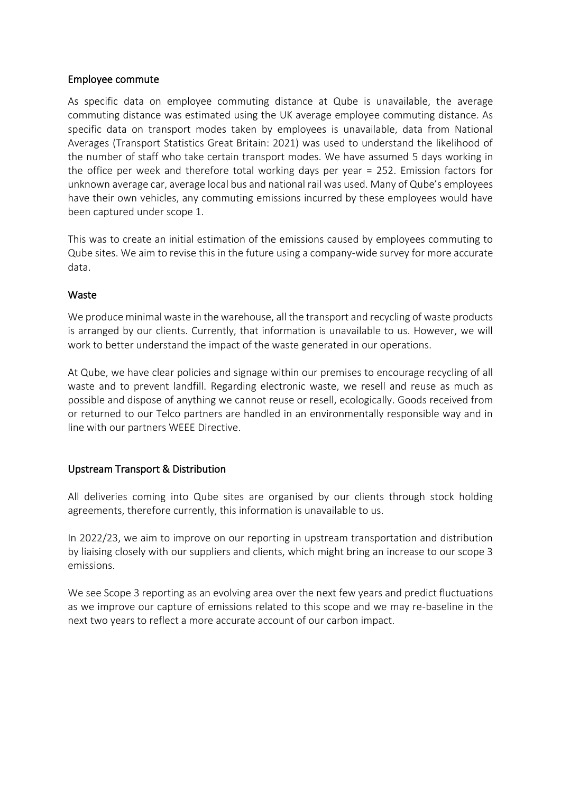#### Employee commute

As specific data on employee commuting distance at Qube is unavailable, the average commuting distance was estimated using the UK average employee commuting distance. As specific data on transport modes taken by employees is unavailable, data from National Averages (Transport Statistics Great Britain: 2021) was used to understand the likelihood of the number of staff who take certain transport modes. We have assumed 5 days working in the office per week and therefore total working days per year = 252. Emission factors for unknown average car, average local bus and national rail was used. Many of Qube's employees have their own vehicles, any commuting emissions incurred by these employees would have been captured under scope 1.

This was to create an initial estimation of the emissions caused by employees commuting to Qube sites. We aim to revise this in the future using a company-wide survey for more accurate data.

#### **Waste**

We produce minimal waste in the warehouse, all the transport and recycling of waste products is arranged by our clients. Currently, that information is unavailable to us. However, we will work to better understand the impact of the waste generated in our operations.

At Qube, we have clear policies and signage within our premises to encourage recycling of all waste and to prevent landfill. Regarding electronic waste, we resell and reuse as much as possible and dispose of anything we cannot reuse or resell, ecologically. Goods received from or returned to our Telco partners are handled in an environmentally responsible way and in line with our partners WEEE Directive.

# Upstream Transport & Distribution

All deliveries coming into Qube sites are organised by our clients through stock holding agreements, therefore currently, this information is unavailable to us.

In 2022/23, we aim to improve on our reporting in upstream transportation and distribution by liaising closely with our suppliers and clients, which might bring an increase to our scope 3 emissions.

We see Scope 3 reporting as an evolving area over the next few years and predict fluctuations as we improve our capture of emissions related to this scope and we may re-baseline in the next two years to reflect a more accurate account of our carbon impact.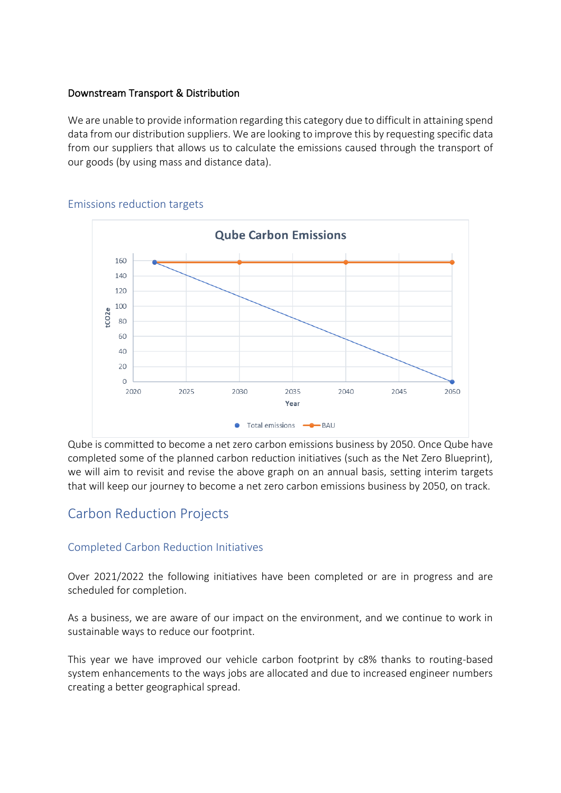# Downstream Transport & Distribution

We are unable to provide information regarding this category due to difficult in attaining spend data from our distribution suppliers. We are looking to improve this by requesting specific data from our suppliers that allows us to calculate the emissions caused through the transport of our goods (by using mass and distance data).



#### Emissions reduction targets

Qube is committed to become a net zero carbon emissions business by 2050. Once Qube have completed some of the planned carbon reduction initiatives (such as the Net Zero Blueprint), we will aim to revisit and revise the above graph on an annual basis, setting interim targets that will keep our journey to become a net zero carbon emissions business by 2050, on track.

# Carbon Reduction Projects

# Completed Carbon Reduction Initiatives

Over 2021/2022 the following initiatives have been completed or are in progress and are scheduled for completion.

As a business, we are aware of our impact on the environment, and we continue to work in sustainable ways to reduce our footprint.

This year we have improved our vehicle carbon footprint by c8% thanks to routing-based system enhancements to the ways jobs are allocated and due to increased engineer numbers creating a better geographical spread.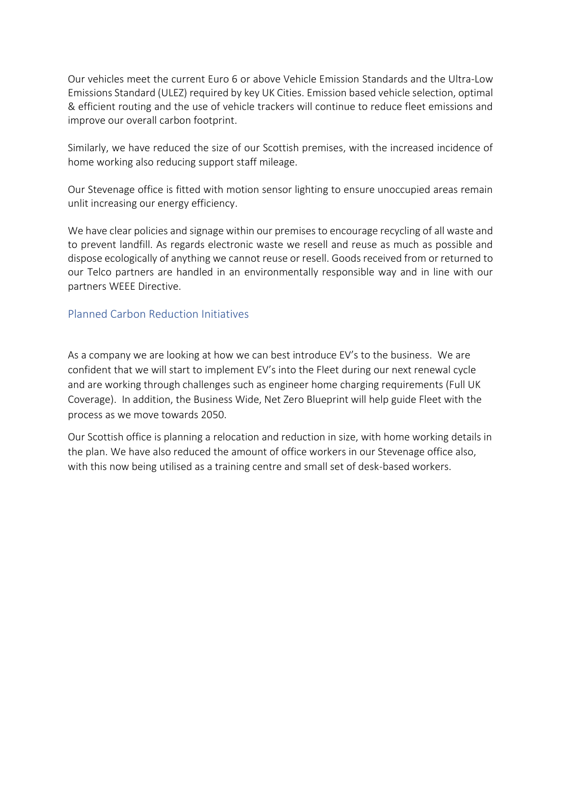Our vehicles meet the current Euro 6 or above Vehicle Emission Standards and the Ultra-Low Emissions Standard (ULEZ) required by key UK Cities. Emission based vehicle selection, optimal & efficient routing and the use of vehicle trackers will continue to reduce fleet emissions and improve our overall carbon footprint.

Similarly, we have reduced the size of our Scottish premises, with the increased incidence of home working also reducing support staff mileage.

Our Stevenage office is fitted with motion sensor lighting to ensure unoccupied areas remain unlit increasing our energy efficiency.

We have clear policies and signage within our premises to encourage recycling of all waste and to prevent landfill. As regards electronic waste we resell and reuse as much as possible and dispose ecologically of anything we cannot reuse or resell. Goods received from or returned to our Telco partners are handled in an environmentally responsible way and in line with our partners WEEE Directive.

# Planned Carbon Reduction Initiatives

As a company we are looking at how we can best introduce EV's to the business. We are confident that we will start to implement EV's into the Fleet during our next renewal cycle and are working through challenges such as engineer home charging requirements (Full UK Coverage). In addition, the Business Wide, Net Zero Blueprint will help guide Fleet with the process as we move towards 2050.

Our Scottish office is planning a relocation and reduction in size, with home working details in the plan. We have also reduced the amount of office workers in our Stevenage office also, with this now being utilised as a training centre and small set of desk-based workers.